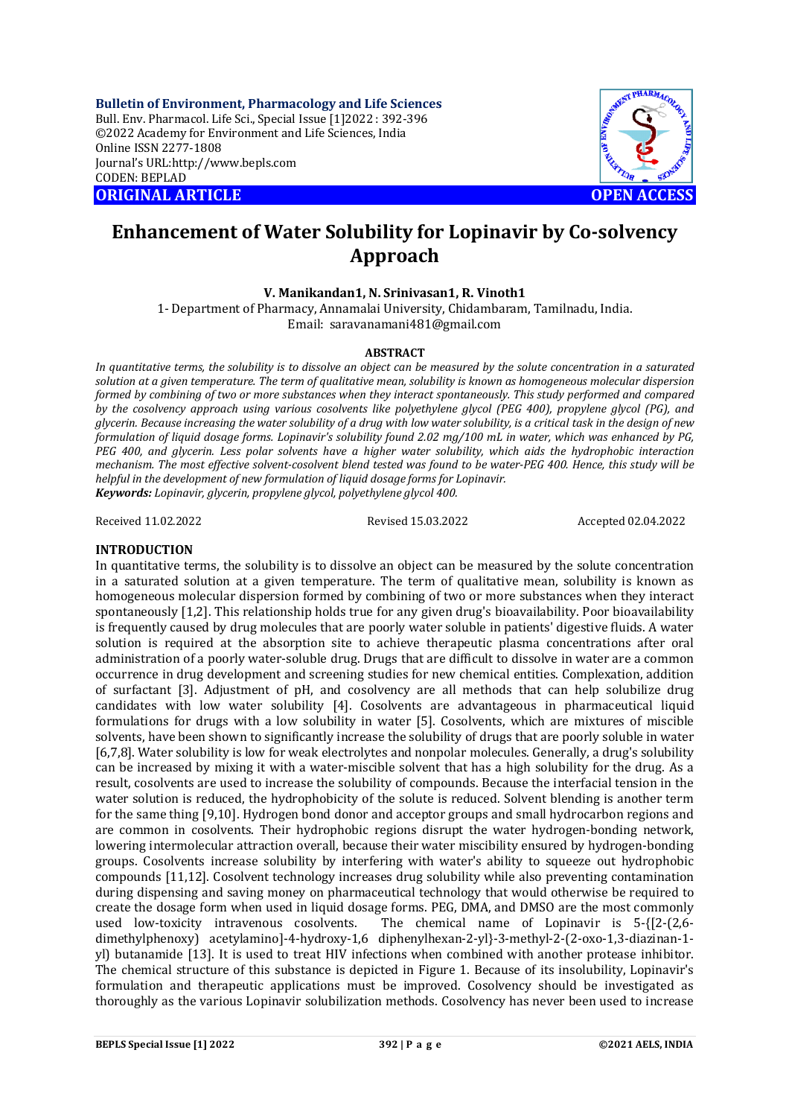**Bulletin of Environment, Pharmacology and Life Sciences** Bull. Env. Pharmacol. Life Sci., Special Issue [1]2022 : 392-396 ©2022 Academy for Environment and Life Sciences, India Online ISSN 2277-1808 Journal's URL:<http://www.bepls.com> CODEN: BEPLAD **ORIGINAL ARTICLE OPEN ACCESS** 



# **Enhancement of Water Solubility for Lopinavir by Co-solvency Approach**

### **V. Manikandan1, N. Srinivasan1, R. Vinoth1**

1- Department of Pharmacy, Annamalai University, Chidambaram, Tamilnadu, India. Email: [saravanamani481@gmail.com](mailto:saravanamani481@gmail.com)

#### **ABSTRACT**

*In quantitative terms, the solubility is to dissolve an object can be measured by the solute concentration in a saturated solution at a given temperature. The term of qualitative mean, solubility is known as homogeneous molecular dispersion formed by combining of two or more substances when they interact spontaneously. This study performed and compared by the cosolvency approach using various cosolvents like polyethylene glycol (PEG 400), propylene glycol (PG), and glycerin. Because increasing the water solubility of a drug with low water solubility, is a critical task in the design of new formulation of liquid dosage forms. Lopinavir's solubility found 2.02 mg/100 mL in water, which was enhanced by PG, PEG 400, and glycerin. Less polar solvents have a higher water solubility, which aids the hydrophobic interaction mechanism. The most effective solvent-cosolvent blend tested was found to be water-PEG 400. Hence, this study will be helpful in the development of new formulation of liquid dosage forms for Lopinavir. Keywords: Lopinavir, glycerin, propylene glycol, polyethylene glycol 400.*

Received 11.02.2022 Revised 15.03.2022 Accepted 02.04.2022

# **INTRODUCTION**

In quantitative terms, the solubility is to dissolve an object can be measured by the solute concentration in a saturated solution at a given temperature. The term of qualitative mean, solubility is known as homogeneous molecular dispersion formed by combining of two or more substances when they interact spontaneously [1,2]. This relationship holds true for any given drug's bioavailability. Poor bioavailability is frequently caused by drug molecules that are poorly water soluble in patients' digestive fluids. A water solution is required at the absorption site to achieve therapeutic plasma concentrations after oral administration of a poorly water-soluble drug. Drugs that are difficult to dissolve in water are a common occurrence in drug development and screening studies for new chemical entities. Complexation, addition of surfactant [3]. Adjustment of pH, and cosolvency are all methods that can help solubilize drug candidates with low water solubility [4]. Cosolvents are advantageous in pharmaceutical liquid formulations for drugs with a low solubility in water [5]. Cosolvents, which are mixtures of miscible solvents, have been shown to significantly increase the solubility of drugs that are poorly soluble in water [6,7,8]. Water solubility is low for weak electrolytes and nonpolar molecules. Generally, a drug's solubility can be increased by mixing it with a water-miscible solvent that has a high solubility for the drug. As a result, cosolvents are used to increase the solubility of compounds. Because the interfacial tension in the water solution is reduced, the hydrophobicity of the solute is reduced. Solvent blending is another term for the same thing [9,10]. Hydrogen bond donor and acceptor groups and small hydrocarbon regions and are common in cosolvents. Their hydrophobic regions disrupt the water hydrogen-bonding network, lowering intermolecular attraction overall, because their water miscibility ensured by hydrogen-bonding groups. Cosolvents increase solubility by interfering with water's ability to squeeze out hydrophobic compounds [11,12]. Cosolvent technology increases drug solubility while also preventing contamination during dispensing and saving money on pharmaceutical technology that would otherwise be required to create the dosage form when used in liquid dosage forms. PEG, DMA, and DMSO are the most commonly used low-toxicity intravenous cosolvents. The chemical name of Lopinavir is 5-{[2-(2,6 dimethylphenoxy) acetylamino]-4-hydroxy-1,6 diphenylhexan-2-yl}-3-methyl-2-(2-oxo-1,3-diazinan-1 yl) butanamide [13]. It is used to treat HIV infections when combined with another protease inhibitor. The chemical structure of this substance is depicted in Figure 1. Because of its insolubility, Lopinavir's formulation and therapeutic applications must be improved. Cosolvency should be investigated as thoroughly as the various Lopinavir solubilization methods. Cosolvency has never been used to increase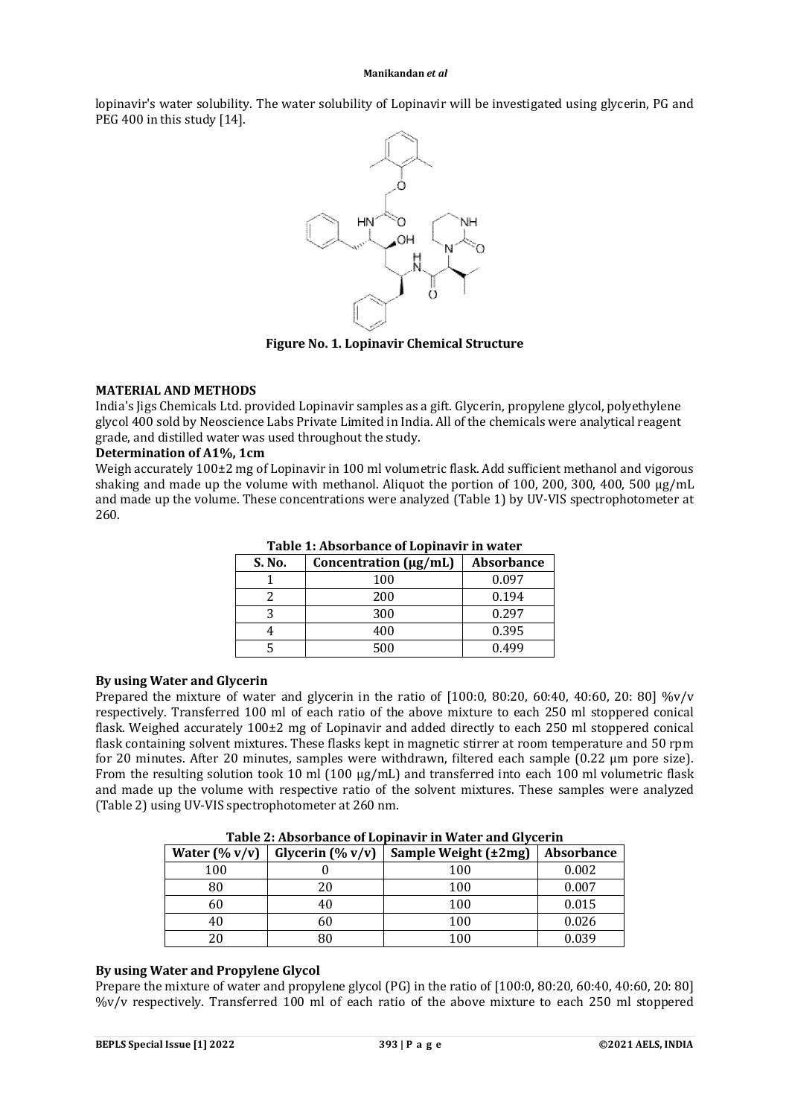lopinavir's water solubility. The water solubility of Lopinavir will be investigated using glycerin, PG and PEG 400 in this study [14].



**Figure No. 1. Lopinavir Chemical Structure**

# **MATERIAL AND METHODS**

India's Jigs Chemicals Ltd. provided Lopinavir samples as a gift. Glycerin, propylene glycol, polyethylene glycol 400 sold by Neoscience Labs Private Limited in India. All of the chemicals were analytical reagent grade, and distilled water was used throughout the study.

#### **Determination of A1%, 1cm**

Weigh accurately 100±2 mg of Lopinavir in 100 ml volumetric flask. Add sufficient methanol and vigorous shaking and made up the volume with methanol. Aliquot the portion of 100, 200, 300, 400, 500  $\mu$ g/mL and made up the volume. These concentrations were analyzed (Table 1) by UV-VIS spectrophotometer at 260.

| S. No. | Concentration (µg/mL) | <b>Absorbance</b> |  |
|--------|-----------------------|-------------------|--|
|        | 100                   | 0.097             |  |
|        | 200                   | 0.194             |  |
|        | 300                   | 0.297             |  |
|        | 400                   | 0.395             |  |
|        | 500                   | 0.499             |  |

### **Table 1: Absorbance of Lopinavir in water**

#### **By using Water and Glycerin**

Prepared the mixture of water and glycerin in the ratio of  $[100:0, 80:20, 60:40, 40:60, 20: 80]$  %v/v respectively. Transferred 100 ml of each ratio of the above mixture to each 250 ml stoppered conical flask. Weighed accurately 100±2 mg of Lopinavir and added directly to each 250 ml stoppered conical flask containing solvent mixtures. These flasks kept in magnetic stirrer at room temperature and 50 rpm for 20 minutes. After 20 minutes, samples were withdrawn, filtered each sample (0.22 µm pore size). From the resulting solution took 10 ml (100 µg/mL) and transferred into each 100 ml volumetric flask and made up the volume with respective ratio of the solvent mixtures. These samples were analyzed (Table 2) using UV-VIS spectrophotometer at 260 nm.

| Water $(\% v/v)$<br>Glycerin $(\% v/v)$ |    | Sample Weight (±2mg) | <b>Absorbance</b> |
|-----------------------------------------|----|----------------------|-------------------|
| 100                                     |    | 100                  | 0.002             |
| 80                                      | 20 | 100                  | 0.007             |
| 60                                      | 40 | 100                  | 0.015             |
| 40                                      | 60 | 100                  | 0.026             |
|                                         | 80 | 100                  | 0.039             |

**Table 2: Absorbance of Lopinavir in Water and Glycerin**

#### **By using Water and Propylene Glycol**

Prepare the mixture of water and propylene glycol (PG) in the ratio of [100:0, 80:20, 60:40, 40:60, 20: 80] %v/v respectively. Transferred 100 ml of each ratio of the above mixture to each 250 ml stoppered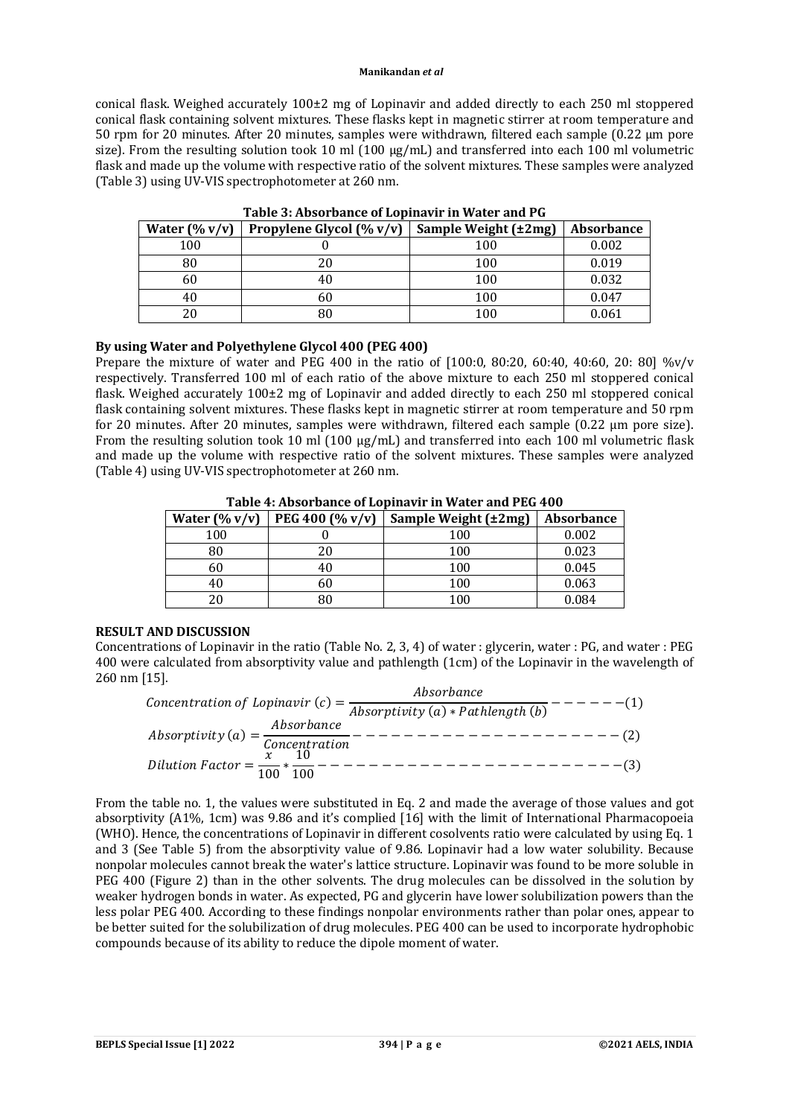conical flask. Weighed accurately 100±2 mg of Lopinavir and added directly to each 250 ml stoppered conical flask containing solvent mixtures. These flasks kept in magnetic stirrer at room temperature and 50 rpm for 20 minutes. After 20 minutes, samples were withdrawn, filtered each sample (0.22 µm pore size). From the resulting solution took 10 ml (100 µg/mL) and transferred into each 100 ml volumetric flask and made up the volume with respective ratio of the solvent mixtures. These samples were analyzed (Table 3) using UV-VIS spectrophotometer at 260 nm.

| Water $(\% v/v)$ | Propylene Glycol (% v/v) | Sample Weight (±2mg) | <b>Absorbance</b> |
|------------------|--------------------------|----------------------|-------------------|
| 100              |                          | 100                  | 0.002             |
| 80               | 20                       | 100                  | 0.019             |
| 60               | 40                       | 100                  | 0.032             |
| 40               | 60                       | 100                  | 0.047             |
| 20               | 80                       | 100                  | 0.061             |

**Table 3: Absorbance of Lopinavir in Water and PG**

# **By using Water and Polyethylene Glycol 400 (PEG 400)**

Prepare the mixture of water and PEG 400 in the ratio of [100:0, 80:20, 60:40, 40:60, 20: 80] %v/v respectively. Transferred 100 ml of each ratio of the above mixture to each 250 ml stoppered conical flask. Weighed accurately 100±2 mg of Lopinavir and added directly to each 250 ml stoppered conical flask containing solvent mixtures. These flasks kept in magnetic stirrer at room temperature and 50 rpm for 20 minutes. After 20 minutes, samples were withdrawn, filtered each sample (0.22 µm pore size). From the resulting solution took 10 ml (100  $\mu$ g/mL) and transferred into each 100 ml volumetric flask and made up the volume with respective ratio of the solvent mixtures. These samples were analyzed (Table 4) using UV-VIS spectrophotometer at 260 nm.

| Water $(\% v/v)$ | PEG 400 $(\% v/v)$ | Sample Weight (±2mg) | <b>Absorbance</b> |
|------------------|--------------------|----------------------|-------------------|
| 100              |                    | 100                  | 0.002             |
| 80               | 20                 | 100                  | 0.023             |
| 60               | 40                 | 100                  | 0.045             |
| 40               | 60                 | 100                  | 0.063             |
| 20               | 80                 | 100                  | 0.084             |

**Table 4: Absorbance of Lopinavir in Water and PEG 400**

# **RESULT AND DISCUSSION**

Concentrations of Lopinavir in the ratio (Table No. 2, 3, 4) of water : glycerin, water : PG, and water : PEG 400 were calculated from absorptivity value and pathlength (1cm) of the Lopinavir in the wavelength of 260 nm [15].

 $\mathcal{L}$  concentration of Lopinavir  $(c) = \frac{\text{Absorbane}}{\text{Abs}(c) \times \text{Path}(c)}$  $\frac{1}{\text{Absorptivity (a) * Pathlength (b)}}$  - - - - - - - - (1) = (ܽ) ݕݐ݅ݒ݅ݐݎݏܾܣ ܾܽ݊ܿ݁ݎݏܾܣ (2) − − − − − − − − − − − − − − − − − − − − − ݊݅ݐܽݎݐ݊ܿ݁݊ܥ = ݎݐܽܿܨ ݊݅ݐݑ݈݅ܦ ݔ <sup>100</sup> <sup>∗</sup> 10 <sup>100</sup> <sup>−</sup> <sup>−</sup> <sup>−</sup> <sup>−</sup> <sup>−</sup> <sup>−</sup> <sup>−</sup> <sup>−</sup> <sup>−</sup> <sup>−</sup> <sup>−</sup> <sup>−</sup> <sup>−</sup> <sup>−</sup> <sup>−</sup> <sup>−</sup> <sup>−</sup> <sup>−</sup> <sup>−</sup> <sup>−</sup> <sup>−</sup> <sup>−</sup> <sup>−</sup> <sup>−</sup>(3)

From the table no. 1, the values were substituted in Eq. 2 and made the average of those values and got absorptivity (A1%, 1cm) was 9.86 and it's complied [16] with the limit of International Pharmacopoeia (WHO). Hence, the concentrations of Lopinavir in different cosolvents ratio were calculated by using Eq. 1 and 3 (See Table 5) from the absorptivity value of 9.86. Lopinavir had a low water solubility. Because nonpolar molecules cannot break the water's lattice structure. Lopinavir was found to be more soluble in PEG 400 (Figure 2) than in the other solvents. The drug molecules can be dissolved in the solution by weaker hydrogen bonds in water. As expected, PG and glycerin have lower solubilization powers than the less polar PEG 400. According to these findings nonpolar environments rather than polar ones, appear to be better suited for the solubilization of drug molecules. PEG 400 can be used to incorporate hydrophobic compounds because of its ability to reduce the dipole moment of water.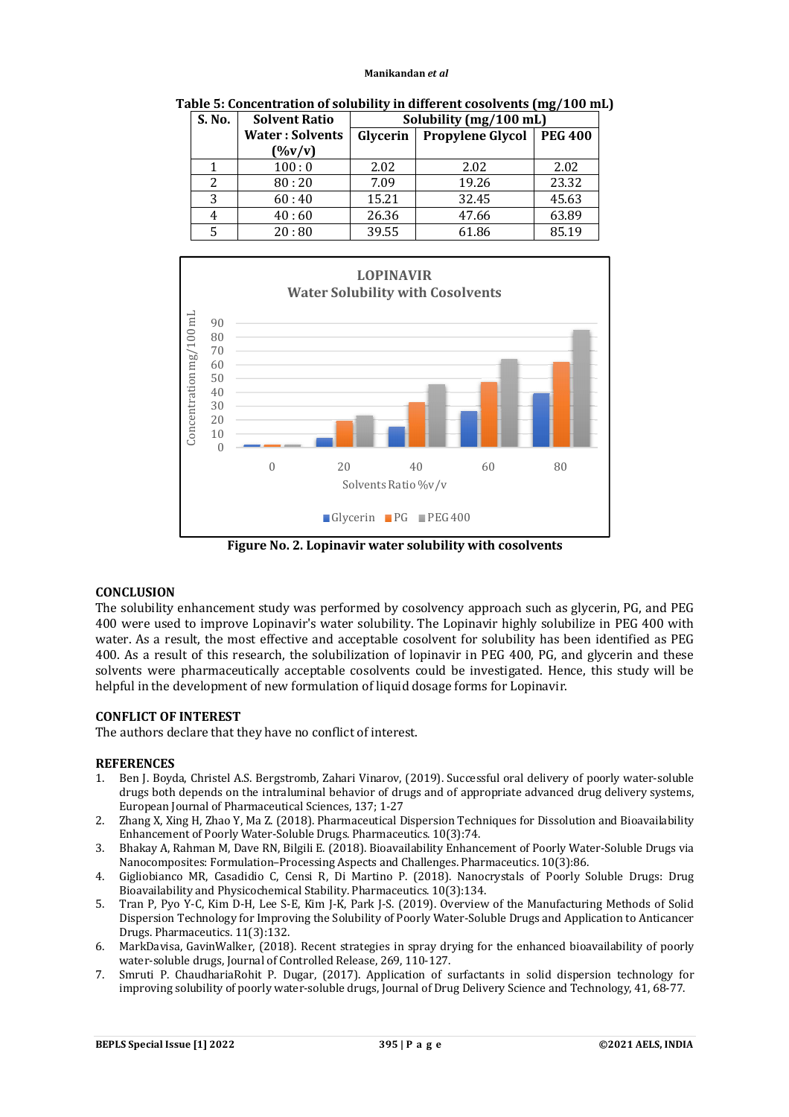| S. No. | <b>Solvent Ratio</b>   | Solubility (mg/100 mL) |                         |                |
|--------|------------------------|------------------------|-------------------------|----------------|
|        | <b>Water: Solvents</b> | Glycerin               | <b>Propylene Glycol</b> | <b>PEG 400</b> |
|        | $($ %v/v)              |                        |                         |                |
|        | 100:0                  | 2.02                   | 2.02                    | 2.02           |
|        | 80:20                  | 7.09                   | 19.26                   | 23.32          |
| 3      | 60:40                  | 15.21                  | 32.45                   | 45.63          |
|        | 40:60                  | 26.36                  | 47.66                   | 63.89          |
|        | 20:80                  | 39.55                  | 61.86                   | 85.19          |

**Table 5: Concentration of solubility in different cosolvents (mg/100 mL)**



**Figure No. 2. Lopinavir water solubility with cosolvents**

#### **CONCLUSION**

The solubility enhancement study was performed by cosolvency approach such as glycerin, PG, and PEG 400 were used to improve Lopinavir's water solubility. The Lopinavir highly solubilize in PEG 400 with water. As a result, the most effective and acceptable cosolvent for solubility has been identified as PEG 400. As a result of this research, the solubilization of lopinavir in PEG 400, PG, and glycerin and these solvents were pharmaceutically acceptable cosolvents could be investigated. Hence, this study will be helpful in the development of new formulation of liquid dosage forms for Lopinavir.

# **CONFLICT OF INTEREST**

The authors declare that they have no conflict of interest.

#### **REFERENCES**

- 1. Ben J. Boyda, Christel A.S. Bergstromb, Zahari Vinarov, (2019). Successful oral delivery of poorly water-soluble drugs both depends on the intraluminal behavior of drugs and of appropriate advanced drug delivery systems, European Journal of Pharmaceutical Sciences, 137; 1-27
- 2. Zhang X, Xing H, Zhao Y, Ma Z. (2018). Pharmaceutical Dispersion Techniques for Dissolution and Bioavailability Enhancement of Poorly Water-Soluble Drugs. Pharmaceutics. 10(3):74.
- 3. Bhakay A, Rahman M, Dave RN, Bilgili E. (2018). Bioavailability Enhancement of Poorly Water-Soluble Drugs via Nanocomposites: Formulation–Processing Aspects and Challenges. Pharmaceutics. 10(3):86.
- 4. Gigliobianco MR, Casadidio C, Censi R, Di Martino P. (2018). Nanocrystals of Poorly Soluble Drugs: Drug Bioavailability and Physicochemical Stability. Pharmaceutics. 10(3):134.
- 5. Tran P, Pyo Y-C, Kim D-H, Lee S-E, Kim J-K, Park J-S. (2019). Overview of the Manufacturing Methods of Solid Dispersion Technology for Improving the Solubility of Poorly Water-Soluble Drugs and Application to Anticancer Drugs. Pharmaceutics. 11(3):132.
- 6. MarkDavisa, GavinWalker, (2018). Recent strategies in spray drying for the enhanced bioavailability of poorly water-soluble drugs, Journal of Controlled Release, 269, 110-127.
- 7. Smruti P. ChaudhariaRohit P. Dugar, (2017). Application of surfactants in solid dispersion technology for improving solubility of poorly water-soluble drugs, Journal of Drug Delivery Science and Technology, 41, 68-77.